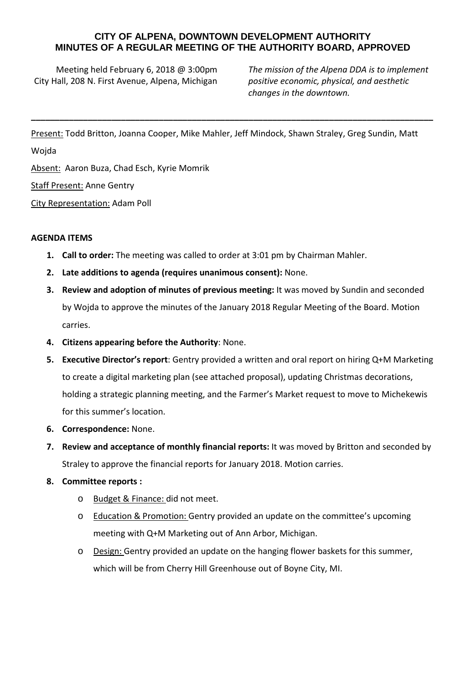## **CITY OF ALPENA, DOWNTOWN DEVELOPMENT AUTHORITY MINUTES OF A REGULAR MEETING OF THE AUTHORITY BOARD, APPROVED**

Meeting held February 6, 2018 @ 3:00pm City Hall, 208 N. First Avenue, Alpena, Michigan

*The mission of the Alpena DDA is to implement positive economic, physical, and aesthetic changes in the downtown.*

Present: Todd Britton, Joanna Cooper, Mike Mahler, Jeff Mindock, Shawn Straley, Greg Sundin, Matt

**\_\_\_\_\_\_\_\_\_\_\_\_\_\_\_\_\_\_\_\_\_\_\_\_\_\_\_\_\_\_\_\_\_\_\_\_\_\_\_\_\_\_\_\_\_\_\_\_\_\_\_\_\_\_\_\_\_\_\_\_\_\_\_\_\_\_\_\_\_\_\_\_\_\_\_\_\_\_\_\_\_\_\_\_\_**

Wojda

Absent: Aaron Buza, Chad Esch, Kyrie Momrik

Staff Present: Anne Gentry

City Representation: Adam Poll

## **AGENDA ITEMS**

- **1. Call to order:** The meeting was called to order at 3:01 pm by Chairman Mahler.
- **2. Late additions to agenda (requires unanimous consent):** None.
- **3. Review and adoption of minutes of previous meeting:** It was moved by Sundin and seconded by Wojda to approve the minutes of the January 2018 Regular Meeting of the Board. Motion carries.
- **4. Citizens appearing before the Authority**: None.
- **5. Executive Director's report**: Gentry provided a written and oral report on hiring Q+M Marketing to create a digital marketing plan (see attached proposal), updating Christmas decorations, holding a strategic planning meeting, and the Farmer's Market request to move to Michekewis for this summer's location.
- **6. Correspondence:** None.
- **7. Review and acceptance of monthly financial reports:** It was moved by Britton and seconded by Straley to approve the financial reports for January 2018. Motion carries.
- **8. Committee reports :**
	- o Budget & Finance: did not meet.
	- o Education & Promotion: Gentry provided an update on the committee's upcoming meeting with Q+M Marketing out of Ann Arbor, Michigan.
	- o Design: Gentry provided an update on the hanging flower baskets for this summer, which will be from Cherry Hill Greenhouse out of Boyne City, MI.